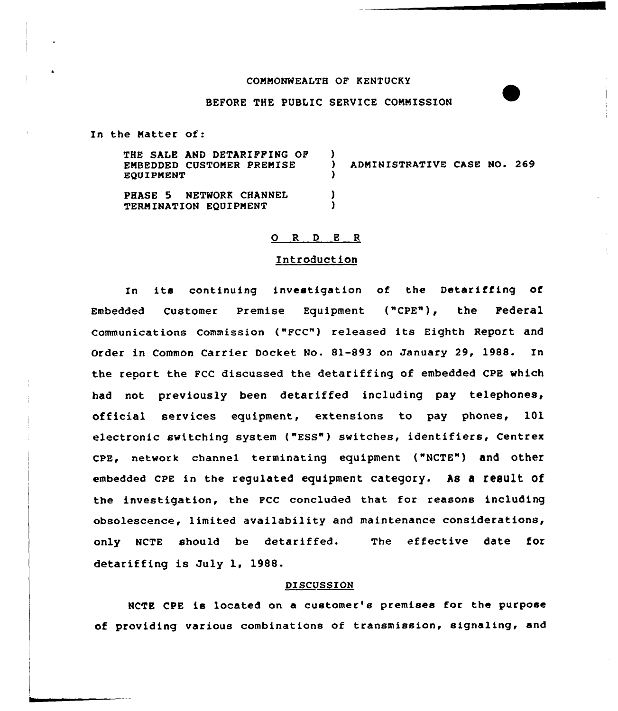# COMMONWEALTH OF KENTUCKY

# BEFORE THE PUBLIC SERVICE COMMISSION

In the Matter of:

| THE SALE AND DETARIFFING OF<br>EMBEDDED CUSTOMER PREMISE<br>EOUIPMENT | ADMINISTRATIVE CASE NO. 269 |  |  |
|-----------------------------------------------------------------------|-----------------------------|--|--|
| PHASE 5 NETWORK CHANNEL<br>TERMINATION EQUIPMENT                      |                             |  |  |

# 0 <sup>R</sup> <sup>D</sup> <sup>E</sup> <sup>R</sup>

# Introduction

In its continuing investigation of the Detariffing of Embedded Customer Premise Equipment ("CPE"), the Federal communications commission ("Fcc") released its Eighth Report and Order in Common Carrier Docket No. 81-893 on January 29, 1988. In the report the FCC discussed the detariffing of embedded CPE which had not previously been detariffed including pay telephones, official services equipment, extensions to pay phones, 101 electronic switching system ("ESS") switches, identifiers, Centrex cpE, network channel terminating equipment ("NcTE") and other embedded CPE in the requlated equipment category. As a result of the investigation, the FCC concluded that for reasons including obsolescence, limited availability and maintenance considerations, only NCTE should be detariffed. The effective date for detariffing is July 1, 1988.

#### DISCUSSION

NCTE CPE is located on a customer's premises for the purpose of providing various combinations of transmission, signaling, and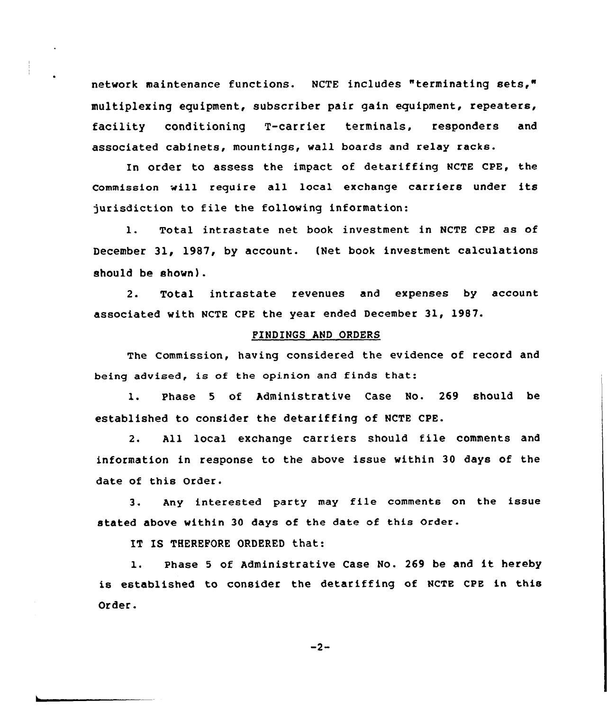network maintenance functions. NCTE includes "terminating sets," multiplexing equipment, subscriber pair gain equipment, repeaters, facility conditioning T-carrier terminals, responders and associated cabinets, mountings, wall boards and relay racks.

In order to assess the impact of detariffing NCTE CPE, the Commission will require all local exchange carriers under its jurisdiction to file the following information:

1. Total intrastate net book investment in NCTE CPE as of December 31, 1987, by account. (Net book investment calculations should be shown).

2. Total intrastate revenues and expenses by account associated with NCTE CPE the year ended December 31, 1987.

# FINDINGS AND ORDERS

The Commission, having considered the evidence of record and being advised, is of the opinion and finds that:

1. Phase <sup>5</sup> of Administrative Case No. 269 should be established to consider the detariffing of NCTE CPE.

2. All local exchange carriers should file comments and information in response to the above issue within 30 days of the date of this Order.

3. Any interested party may file comments on the issue stated above within 30 days of the date of this Order.

IT IS THEREFORE ORDERED that:

1. Phase <sup>5</sup> of Administrative Case No. <sup>269</sup> be and it hereby is established to consider the detariffing of NCTE CPE in this Order.

 $-2-$